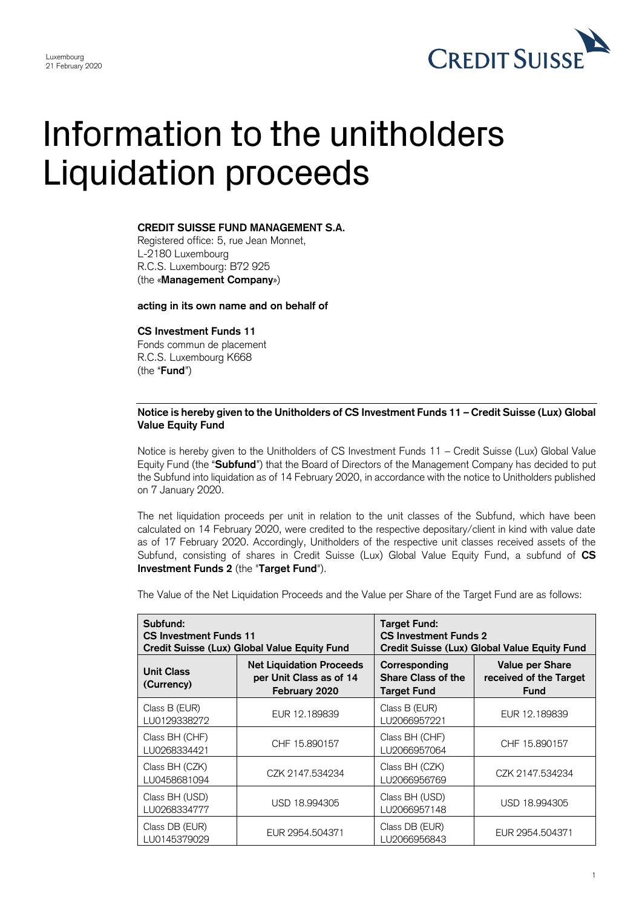

## Information to the unitholders Liquidation proceeds

## **CREDIT SUISSE FUND MANAGEMENT S.A.**

Registered office: 5, rue Jean Monnet, L-2180 Luxembourg R.C.S. Luxembourg: B72 925 (the «**Management Company**»)

**acting in its own name and on behalf of**

## **CS Investment Funds 11**

Fonds commun de placement R.C.S. Luxembourg K668 (the "**Fund**")

## **Notice is hereby given to the Unitholders of CS Investment Funds 11 – Credit Suisse (Lux) Global Value Equity Fund**

Notice is hereby given to the Unitholders of CS Investment Funds 11 – Credit Suisse (Lux) Global Value Equity Fund (the "**Subfund**") that the Board of Directors of the Management Company has decided to put the Subfund into liquidation as of 14 February 2020, in accordance with the notice to Unitholders published on 7 January 2020.

The net liquidation proceeds per unit in relation to the unit classes of the Subfund, which have been calculated on 14 February 2020, were credited to the respective depositary/client in kind with value date as of 17 February 2020. Accordingly, Unitholders of the respective unit classes received assets of the Subfund, consisting of shares in Credit Suisse (Lux) Global Value Equity Fund, a subfund of **CS Investment Funds 2** (the "**Target Fund**").

The Value of the Net Liquidation Proceeds and the Value per Share of the Target Fund are as follows:

| Subfund:<br><b>CS Investment Funds 11</b><br>Credit Suisse (Lux) Global Value Equity Fund |                                                                             | <b>Target Fund:</b><br><b>CS Investment Funds 2</b><br>Credit Suisse (Lux) Global Value Equity Fund |                                                                 |
|-------------------------------------------------------------------------------------------|-----------------------------------------------------------------------------|-----------------------------------------------------------------------------------------------------|-----------------------------------------------------------------|
| <b>Unit Class</b><br>(Currency)                                                           | <b>Net Liquidation Proceeds</b><br>per Unit Class as of 14<br>February 2020 | Corresponding<br><b>Share Class of the</b><br><b>Target Fund</b>                                    | <b>Value per Share</b><br>received of the Target<br><b>Fund</b> |
| Class B (EUR)<br>LU0129338272                                                             | EUR 12.189839                                                               | Class B (EUR)<br>LU2066957221                                                                       | EUR 12.189839                                                   |
| Class BH (CHF)<br>LU0268334421                                                            | CHF 15.890157                                                               | Class BH (CHF)<br>LU2066957064                                                                      | CHF 15.890157                                                   |
| Class BH (CZK)<br>LU0458681094                                                            | CZK 2147.534234                                                             | Class BH (CZK)<br>LU2066956769                                                                      | CZK 2147.534234                                                 |
| Class BH (USD)<br>LU0268334777                                                            | USD 18.994305                                                               | Class BH (USD)<br>LU2066957148                                                                      | USD 18.994305                                                   |
| Class DB (EUR)<br>LU0145379029                                                            | EUR 2954.504371                                                             | Class DB (EUR)<br>LU2066956843                                                                      | EUR 2954.504371                                                 |